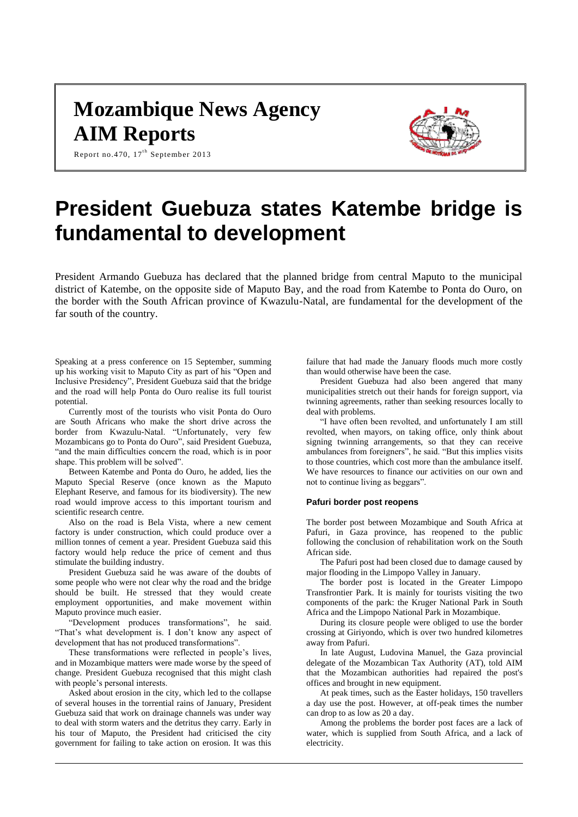# **Mozambique News Agency AIM Reports**



Report no.470,  $17^{\text{th}}$  September 2013

# **President Guebuza states Katembe bridge is fundamental to development**

President Armando Guebuza has declared that the planned bridge from central Maputo to the municipal district of Katembe, on the opposite side of Maputo Bay, and the road from Katembe to Ponta do Ouro, on the border with the South African province of Kwazulu-Natal, are fundamental for the development of the far south of the country.

Speaking at a press conference on 15 September, summing up his working visit to Maputo City as part of his "Open and Inclusive Presidency", President Guebuza said that the bridge and the road will help Ponta do Ouro realise its full tourist potential.

Currently most of the tourists who visit Ponta do Ouro are South Africans who make the short drive across the border from Kwazulu-Natal. "Unfortunately, very few Mozambicans go to Ponta do Ouro", said President Guebuza, "and the main difficulties concern the road, which is in poor shape. This problem will be solved".

Between Katembe and Ponta do Ouro, he added, lies the Maputo Special Reserve (once known as the Maputo Elephant Reserve, and famous for its biodiversity). The new road would improve access to this important tourism and scientific research centre.

Also on the road is Bela Vista, where a new cement factory is under construction, which could produce over a million tonnes of cement a year. President Guebuza said this factory would help reduce the price of cement and thus stimulate the building industry.

President Guebuza said he was aware of the doubts of some people who were not clear why the road and the bridge should be built. He stressed that they would create employment opportunities, and make movement within Maputo province much easier.

"Development produces transformations", he said. "That's what development is. I don't know any aspect of development that has not produced transformations".

These transformations were reflected in people's lives, and in Mozambique matters were made worse by the speed of change. President Guebuza recognised that this might clash with people's personal interests.

Asked about erosion in the city, which led to the collapse of several houses in the torrential rains of January, President Guebuza said that work on drainage channels was under way to deal with storm waters and the detritus they carry. Early in his tour of Maputo, the President had criticised the city government for failing to take action on erosion. It was this

failure that had made the January floods much more costly than would otherwise have been the case.

President Guebuza had also been angered that many municipalities stretch out their hands for foreign support, via twinning agreements, rather than seeking resources locally to deal with problems.

"I have often been revolted, and unfortunately I am still revolted, when mayors, on taking office, only think about signing twinning arrangements, so that they can receive ambulances from foreigners", he said. "But this implies visits to those countries, which cost more than the ambulance itself. We have resources to finance our activities on our own and not to continue living as beggars".

### **Pafuri border post reopens**

The border post between Mozambique and South Africa at Pafuri, in Gaza province, has reopened to the public following the conclusion of rehabilitation work on the South African side.

The Pafuri post had been closed due to damage caused by major flooding in the Limpopo Valley in January.

The border post is located in the Greater Limpopo Transfrontier Park. It is mainly for tourists visiting the two components of the park: the Kruger National Park in South Africa and the Limpopo National Park in Mozambique.

During its closure people were obliged to use the border crossing at Giriyondo, which is over two hundred kilometres away from Pafuri.

In late August, Ludovina Manuel, the Gaza provincial delegate of the Mozambican Tax Authority (AT), told AIM that the Mozambican authorities had repaired the post's offices and brought in new equipment.

At peak times, such as the Easter holidays, 150 travellers a day use the post. However, at off-peak times the number can drop to as low as 20 a day.

Among the problems the border post faces are a lack of water, which is supplied from South Africa, and a lack of electricity.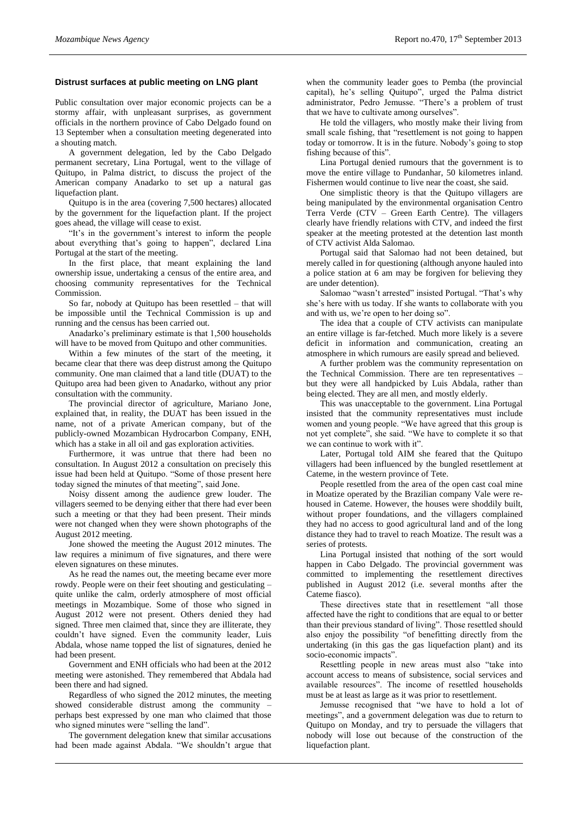#### **Distrust surfaces at public meeting on LNG plant**

Public consultation over major economic projects can be a stormy affair, with unpleasant surprises, as government officials in the northern province of Cabo Delgado found on 13 September when a consultation meeting degenerated into a shouting match.

A government delegation, led by the Cabo Delgado permanent secretary, Lina Portugal, went to the village of Quitupo, in Palma district, to discuss the project of the American company Anadarko to set up a natural gas liquefaction plant.

Quitupo is in the area (covering 7,500 hectares) allocated by the government for the liquefaction plant. If the project goes ahead, the village will cease to exist.

"It's in the government's interest to inform the people about everything that's going to happen", declared Lina Portugal at the start of the meeting.

In the first place, that meant explaining the land ownership issue, undertaking a census of the entire area, and choosing community representatives for the Technical Commission.

So far, nobody at Quitupo has been resettled – that will be impossible until the Technical Commission is up and running and the census has been carried out.

Anadarko's preliminary estimate is that 1,500 households will have to be moved from Quitupo and other communities.

Within a few minutes of the start of the meeting, it became clear that there was deep distrust among the Quitupo community. One man claimed that a land title (DUAT) to the Quitupo area had been given to Anadarko, without any prior consultation with the community.

The provincial director of agriculture, Mariano Jone, explained that, in reality, the DUAT has been issued in the name, not of a private American company, but of the publicly-owned Mozambican Hydrocarbon Company, ENH, which has a stake in all oil and gas exploration activities.

Furthermore, it was untrue that there had been no consultation. In August 2012 a consultation on precisely this issue had been held at Quitupo. "Some of those present here today signed the minutes of that meeting", said Jone.

Noisy dissent among the audience grew louder. The villagers seemed to be denying either that there had ever been such a meeting or that they had been present. Their minds were not changed when they were shown photographs of the August 2012 meeting.

Jone showed the meeting the August 2012 minutes. The law requires a minimum of five signatures, and there were eleven signatures on these minutes.

As he read the names out, the meeting became ever more rowdy. People were on their feet shouting and gesticulating – quite unlike the calm, orderly atmosphere of most official meetings in Mozambique. Some of those who signed in August 2012 were not present. Others denied they had signed. Three men claimed that, since they are illiterate, they couldn't have signed. Even the community leader, Luis Abdala, whose name topped the list of signatures, denied he had been present.

Government and ENH officials who had been at the 2012 meeting were astonished. They remembered that Abdala had been there and had signed.

Regardless of who signed the 2012 minutes, the meeting showed considerable distrust among the community – perhaps best expressed by one man who claimed that those who signed minutes were "selling the land".

The government delegation knew that similar accusations had been made against Abdala. "We shouldn't argue that when the community leader goes to Pemba (the provincial capital), he's selling Quitupo", urged the Palma district administrator, Pedro Jemusse. "There's a problem of trust that we have to cultivate among ourselves".

He told the villagers, who mostly make their living from small scale fishing, that "resettlement is not going to happen today or tomorrow. It is in the future. Nobody's going to stop fishing because of this".

Lina Portugal denied rumours that the government is to move the entire village to Pundanhar, 50 kilometres inland. Fishermen would continue to live near the coast, she said.

One simplistic theory is that the Quitupo villagers are being manipulated by the environmental organisation Centro Terra Verde (CTV – Green Earth Centre). The villagers clearly have friendly relations with CTV, and indeed the first speaker at the meeting protested at the detention last month of CTV activist Alda Salomao.

Portugal said that Salomao had not been detained, but merely called in for questioning (although anyone hauled into a police station at 6 am may be forgiven for believing they are under detention).

Salomao "wasn't arrested" insisted Portugal. "That's why she's here with us today. If she wants to collaborate with you and with us, we're open to her doing so".

The idea that a couple of CTV activists can manipulate an entire village is far-fetched. Much more likely is a severe deficit in information and communication, creating an atmosphere in which rumours are easily spread and believed.

A further problem was the community representation on the Technical Commission. There are ten representatives – but they were all handpicked by Luis Abdala, rather than being elected. They are all men, and mostly elderly.

This was unacceptable to the government. Lina Portugal insisted that the community representatives must include women and young people. "We have agreed that this group is not yet complete", she said. "We have to complete it so that we can continue to work with it".

Later, Portugal told AIM she feared that the Quitupo villagers had been influenced by the bungled resettlement at Cateme, in the western province of Tete.

People resettled from the area of the open cast coal mine in Moatize operated by the Brazilian company Vale were rehoused in Cateme. However, the houses were shoddily built, without proper foundations, and the villagers complained they had no access to good agricultural land and of the long distance they had to travel to reach Moatize. The result was a series of protests.

Lina Portugal insisted that nothing of the sort would happen in Cabo Delgado. The provincial government was committed to implementing the resettlement directives published in August 2012 (i.e. several months after the Cateme fiasco).

These directives state that in resettlement "all those affected have the right to conditions that are equal to or better than their previous standard of living". Those resettled should also enjoy the possibility "of benefitting directly from the undertaking (in this gas the gas liquefaction plant) and its socio-economic impacts".

Resettling people in new areas must also "take into account access to means of subsistence, social services and available resources". The income of resettled households must be at least as large as it was prior to resettlement.

Jemusse recognised that "we have to hold a lot of meetings", and a government delegation was due to return to Quitupo on Monday, and try to persuade the villagers that nobody will lose out because of the construction of the liquefaction plant.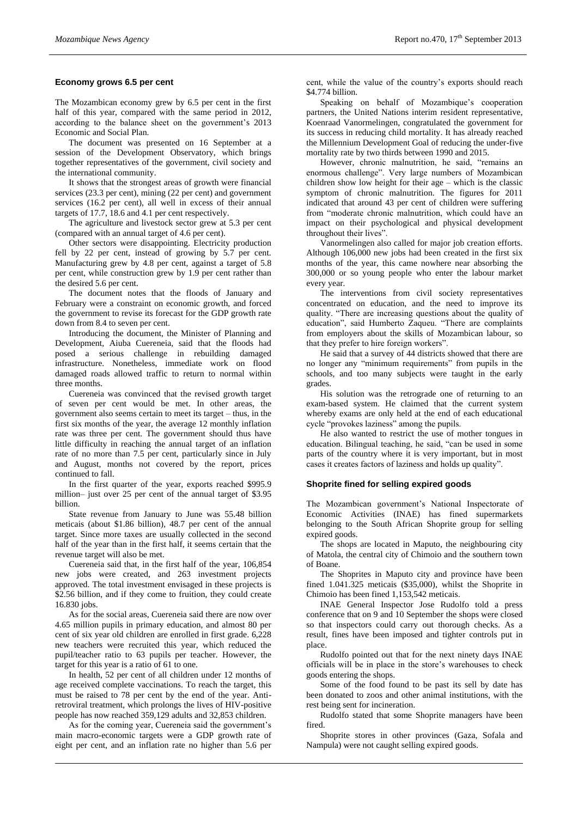#### **Economy grows 6.5 per cent**

The Mozambican economy grew by 6.5 per cent in the first half of this year, compared with the same period in 2012, according to the balance sheet on the government's 2013 Economic and Social Plan.

The document was presented on 16 September at a session of the Development Observatory, which brings together representatives of the government, civil society and the international community.

It shows that the strongest areas of growth were financial services (23.3 per cent), mining (22 per cent) and government services (16.2 per cent), all well in excess of their annual targets of 17.7, 18.6 and 4.1 per cent respectively.

The agriculture and livestock sector grew at 5.3 per cent (compared with an annual target of 4.6 per cent).

Other sectors were disappointing. Electricity production fell by 22 per cent, instead of growing by 5.7 per cent. Manufacturing grew by 4.8 per cent, against a target of 5.8 per cent, while construction grew by 1.9 per cent rather than the desired 5.6 per cent.

The document notes that the floods of January and February were a constraint on economic growth, and forced the government to revise its forecast for the GDP growth rate down from 8.4 to seven per cent.

Introducing the document, the Minister of Planning and Development, Aiuba Cuereneia, said that the floods had posed a serious challenge in rebuilding damaged infrastructure. Nonetheless, immediate work on flood damaged roads allowed traffic to return to normal within three months.

Cuereneia was convinced that the revised growth target of seven per cent would be met. In other areas, the government also seems certain to meet its target – thus, in the first six months of the year, the average 12 monthly inflation rate was three per cent. The government should thus have little difficulty in reaching the annual target of an inflation rate of no more than 7.5 per cent, particularly since in July and August, months not covered by the report, prices continued to fall.

In the first quarter of the year, exports reached \$995.9 million– just over 25 per cent of the annual target of \$3.95 billion.

State revenue from January to June was 55.48 billion meticais (about \$1.86 billion), 48.7 per cent of the annual target. Since more taxes are usually collected in the second half of the year than in the first half, it seems certain that the revenue target will also be met.

Cuereneia said that, in the first half of the year, 106,854 new jobs were created, and 263 investment projects approved. The total investment envisaged in these projects is \$2.56 billion, and if they come to fruition, they could create 16.830 jobs.

As for the social areas, Cuereneia said there are now over 4.65 million pupils in primary education, and almost 80 per cent of six year old children are enrolled in first grade. 6,228 new teachers were recruited this year, which reduced the pupil/teacher ratio to 63 pupils per teacher. However, the target for this year is a ratio of 61 to one.

In health, 52 per cent of all children under 12 months of age received complete vaccinations. To reach the target, this must be raised to 78 per cent by the end of the year. Antiretroviral treatment, which prolongs the lives of HIV-positive people has now reached 359,129 adults and 32,853 children.

As for the coming year, Cuereneia said the government's main macro-economic targets were a GDP growth rate of eight per cent, and an inflation rate no higher than 5.6 per cent, while the value of the country's exports should reach \$4.774 billion.

Speaking on behalf of Mozambique's cooperation partners, the United Nations interim resident representative, Koenraad Vanormelingen, congratulated the government for its success in reducing child mortality. It has already reached the Millennium Development Goal of reducing the under-five mortality rate by two thirds between 1990 and 2015.

However, chronic malnutrition, he said, "remains an enormous challenge". Very large numbers of Mozambican children show low height for their age – which is the classic symptom of chronic malnutrition. The figures for 2011 indicated that around 43 per cent of children were suffering from "moderate chronic malnutrition, which could have an impact on their psychological and physical development throughout their lives".

Vanormelingen also called for major job creation efforts. Although 106,000 new jobs had been created in the first six months of the year, this came nowhere near absorbing the 300,000 or so young people who enter the labour market every year.

The interventions from civil society representatives concentrated on education, and the need to improve its quality. "There are increasing questions about the quality of education", said Humberto Zaqueu. "There are complaints from employers about the skills of Mozambican labour, so that they prefer to hire foreign workers".

He said that a survey of 44 districts showed that there are no longer any "minimum requirements" from pupils in the schools, and too many subjects were taught in the early grades.

His solution was the retrograde one of returning to an exam-based system. He claimed that the current system whereby exams are only held at the end of each educational cycle "provokes laziness" among the pupils.

He also wanted to restrict the use of mother tongues in education. Bilingual teaching, he said, "can be used in some parts of the country where it is very important, but in most cases it creates factors of laziness and holds up quality".

#### **Shoprite fined for selling expired goods**

The Mozambican government's National Inspectorate of Economic Activities (INAE) has fined supermarkets belonging to the South African Shoprite group for selling expired goods.

The shops are located in Maputo, the neighbouring city of Matola, the central city of Chimoio and the southern town of Boane.

The Shoprites in Maputo city and province have been fined 1.041.325 meticais (\$35,000), whilst the Shoprite in Chimoio has been fined 1,153,542 meticais.

INAE General Inspector Jose Rudolfo told a press conference that on 9 and 10 September the shops were closed so that inspectors could carry out thorough checks. As a result, fines have been imposed and tighter controls put in place.

Rudolfo pointed out that for the next ninety days INAE officials will be in place in the store's warehouses to check goods entering the shops.

Some of the food found to be past its sell by date has been donated to zoos and other animal institutions, with the rest being sent for incineration.

Rudolfo stated that some Shoprite managers have been fired.

Shoprite stores in other provinces (Gaza, Sofala and Nampula) were not caught selling expired goods.